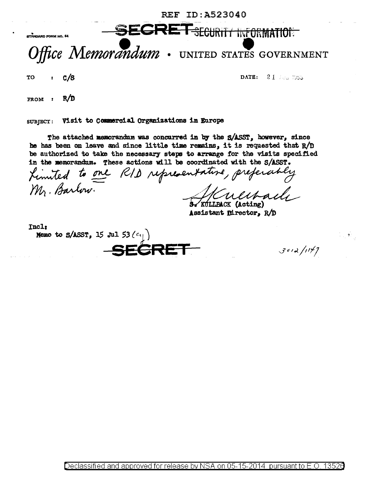REF ID:A523040

SECRET SECURIT HY ORMATION

## **Office Memorandum** • UNITED STATES GOVERNMENT

TO case  $C/S$  denotes the contract of  $C/S$  denotes  $C/S$  and  $C/S$  in  $C/S$  in  $C/S$  . If  $C/S$  is a set of  $C/S$  is a set of  $C/S$  is a set of  $C/S$  is a set of  $C/S$  is a set of  $C/S$  is a set of  $C/S$  is a set of  $C/S$  is a set of ~-· • \_.!.\_}..,J

FROM : R/D

SUBJECT: Visit to Commercial Organizations in Europe

The attached memorandum was concurred in by the S/ASST, however, since he has been on leave and since little time remains, it is requested that R/D be authorized to take the necessary steps to arrange for the visits specified in the memorandum. These actions will be coordinated with the S/ASST.

to one RID representative, preferably  $m$ . Barlow

Assistant Director, R/D

Incl: Memo to  $S/ASST$ , 15 Jul 53  $(c_{ij})$ SE<del>CRET</del>

 $3012/1177$ 

Declassified and approved for release by NSA on 05-15-2014 pursuant to E.O. 13526